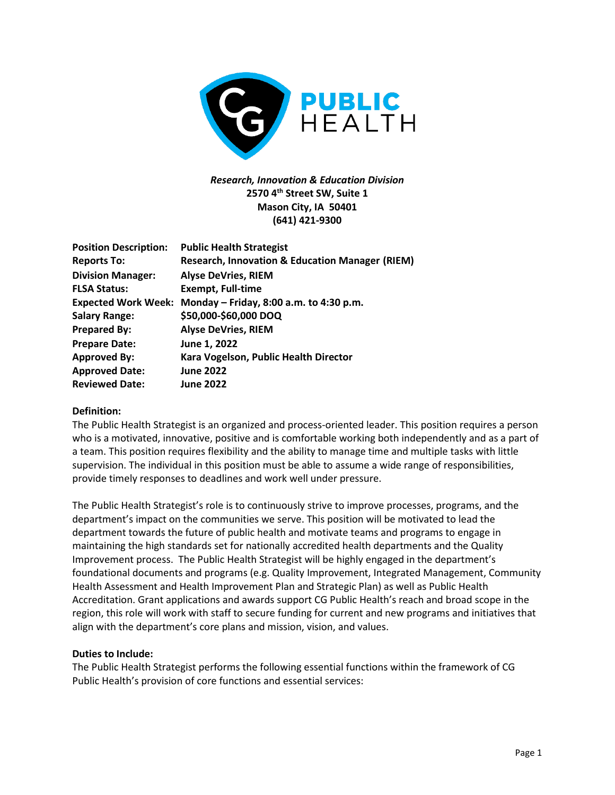

# *Research, Innovation & Education Division* **2570 4th Street SW, Suite 1 Mason City, IA 50401 (641) 421-9300**

| <b>Position Description:</b> | <b>Public Health Strategist</b>                             |
|------------------------------|-------------------------------------------------------------|
| <b>Reports To:</b>           | <b>Research, Innovation &amp; Education Manager (RIEM)</b>  |
| <b>Division Manager:</b>     | <b>Alyse DeVries, RIEM</b>                                  |
| <b>FLSA Status:</b>          | <b>Exempt, Full-time</b>                                    |
|                              | Expected Work Week: Monday - Friday, 8:00 a.m. to 4:30 p.m. |
| <b>Salary Range:</b>         | \$50,000-\$60,000 DOQ                                       |
| <b>Prepared By:</b>          | <b>Alyse DeVries, RIEM</b>                                  |
| <b>Prepare Date:</b>         | June 1, 2022                                                |
| <b>Approved By:</b>          | Kara Vogelson, Public Health Director                       |
| <b>Approved Date:</b>        | <b>June 2022</b>                                            |
| <b>Reviewed Date:</b>        | <b>June 2022</b>                                            |

## **Definition:**

The Public Health Strategist is an organized and process-oriented leader. This position requires a person who is a motivated, innovative, positive and is comfortable working both independently and as a part of a team. This position requires flexibility and the ability to manage time and multiple tasks with little supervision. The individual in this position must be able to assume a wide range of responsibilities, provide timely responses to deadlines and work well under pressure.

The Public Health Strategist's role is to continuously strive to improve processes, programs, and the department's impact on the communities we serve. This position will be motivated to lead the department towards the future of public health and motivate teams and programs to engage in maintaining the high standards set for nationally accredited health departments and the Quality Improvement process. The Public Health Strategist will be highly engaged in the department's foundational documents and programs (e.g. Quality Improvement, Integrated Management, Community Health Assessment and Health Improvement Plan and Strategic Plan) as well as Public Health Accreditation. Grant applications and awards support CG Public Health's reach and broad scope in the region, this role will work with staff to secure funding for current and new programs and initiatives that align with the department's core plans and mission, vision, and values.

## **Duties to Include:**

The Public Health Strategist performs the following essential functions within the framework of CG Public Health's provision of core functions and essential services: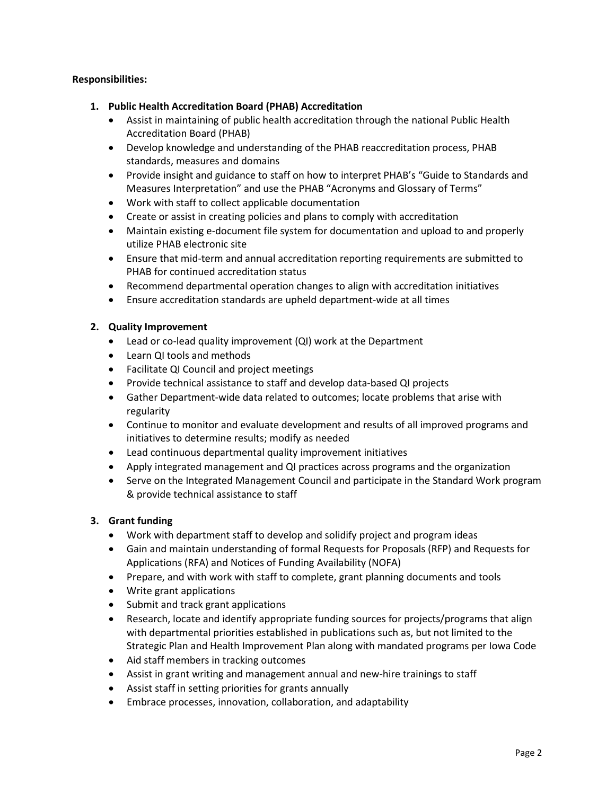# **Responsibilities:**

- **1. Public Health Accreditation Board (PHAB) Accreditation** 
	- Assist in maintaining of public health accreditation through the national Public Health Accreditation Board (PHAB)
	- Develop knowledge and understanding of the PHAB reaccreditation process, PHAB standards, measures and domains
	- Provide insight and guidance to staff on how to interpret PHAB's "Guide to Standards and Measures Interpretation" and use the PHAB "Acronyms and Glossary of Terms"
	- Work with staff to collect applicable documentation
	- Create or assist in creating policies and plans to comply with accreditation
	- Maintain existing e-document file system for documentation and upload to and properly utilize PHAB electronic site
	- Ensure that mid-term and annual accreditation reporting requirements are submitted to PHAB for continued accreditation status
	- Recommend departmental operation changes to align with accreditation initiatives
	- Ensure accreditation standards are upheld department-wide at all times

## **2. Quality Improvement**

- Lead or co-lead quality improvement (QI) work at the Department
- Learn QI tools and methods
- Facilitate QI Council and project meetings
- Provide technical assistance to staff and develop data-based QI projects
- Gather Department-wide data related to outcomes; locate problems that arise with regularity
- Continue to monitor and evaluate development and results of all improved programs and initiatives to determine results; modify as needed
- Lead continuous departmental quality improvement initiatives
- Apply integrated management and QI practices across programs and the organization
- Serve on the Integrated Management Council and participate in the Standard Work program & provide technical assistance to staff

# **3. Grant funding**

- Work with department staff to develop and solidify project and program ideas
- Gain and maintain understanding of formal Requests for Proposals (RFP) and Requests for Applications (RFA) and Notices of Funding Availability (NOFA)
- Prepare, and with work with staff to complete, grant planning documents and tools
- Write grant applications
- Submit and track grant applications
- Research, locate and identify appropriate funding sources for projects/programs that align with departmental priorities established in publications such as, but not limited to the Strategic Plan and Health Improvement Plan along with mandated programs per Iowa Code
- Aid staff members in tracking outcomes
- Assist in grant writing and management annual and new-hire trainings to staff
- Assist staff in setting priorities for grants annually
- Embrace processes, innovation, collaboration, and adaptability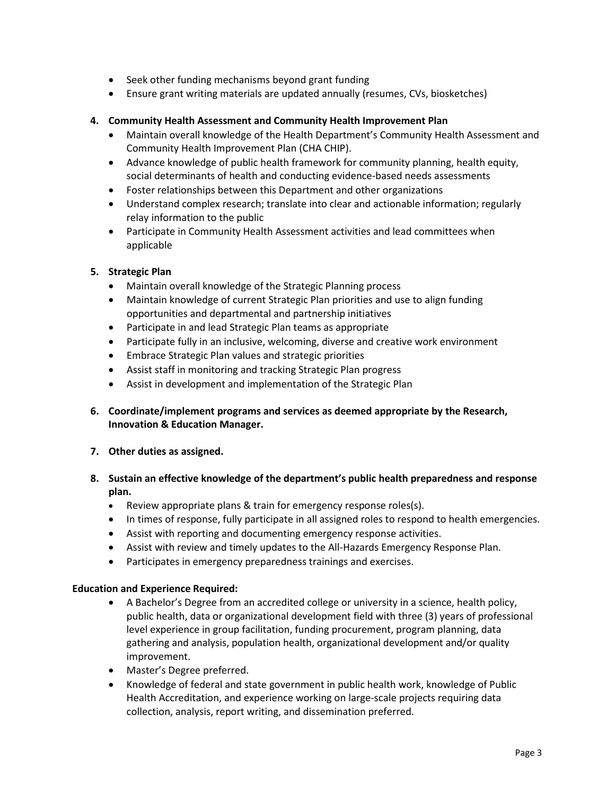- Seek other funding mechanisms beyond grant funding
- Ensure grant writing materials are updated annually (resumes, CVs, biosketches)

## **4. Community Health Assessment and Community Health Improvement Plan**

- Maintain overall knowledge of the Health Department's Community Health Assessment and Community Health Improvement Plan (CHA CHIP).
- Advance knowledge of public health framework for community planning, health equity, social determinants of health and conducting evidence-based needs assessments
- Foster relationships between this Department and other organizations
- Understand complex research; translate into clear and actionable information; regularly relay information to the public
- Participate in Community Health Assessment activities and lead committees when applicable

## **5. Strategic Plan**

- Maintain overall knowledge of the Strategic Planning process
- Maintain knowledge of current Strategic Plan priorities and use to align funding opportunities and departmental and partnership initiatives
- Participate in and lead Strategic Plan teams as appropriate
- Participate fully in an inclusive, welcoming, diverse and creative work environment
- Embrace Strategic Plan values and strategic priorities
- Assist staff in monitoring and tracking Strategic Plan progress
- Assist in development and implementation of the Strategic Plan
- **6. Coordinate/implement programs and services as deemed appropriate by the Research, Innovation & Education Manager.**

## **7. Other duties as assigned.**

- **8. Sustain an effective knowledge of the department's public health preparedness and response plan.** 
	- Review appropriate plans & train for emergency response roles(s).
	- In times of response, fully participate in all assigned roles to respond to health emergencies.
	- Assist with reporting and documenting emergency response activities.
	- Assist with review and timely updates to the All-Hazards Emergency Response Plan.
	- Participates in emergency preparedness trainings and exercises.

## **Education and Experience Required:**

- A Bachelor's Degree from an accredited college or university in a science, health policy, public health, data or organizational development field with three (3) years of professional level experience in group facilitation, funding procurement, program planning, data gathering and analysis, population health, organizational development and/or quality improvement.
- Master's Degree preferred.
- Knowledge of federal and state government in public health work, knowledge of Public Health Accreditation, and experience working on large-scale projects requiring data collection, analysis, report writing, and dissemination preferred.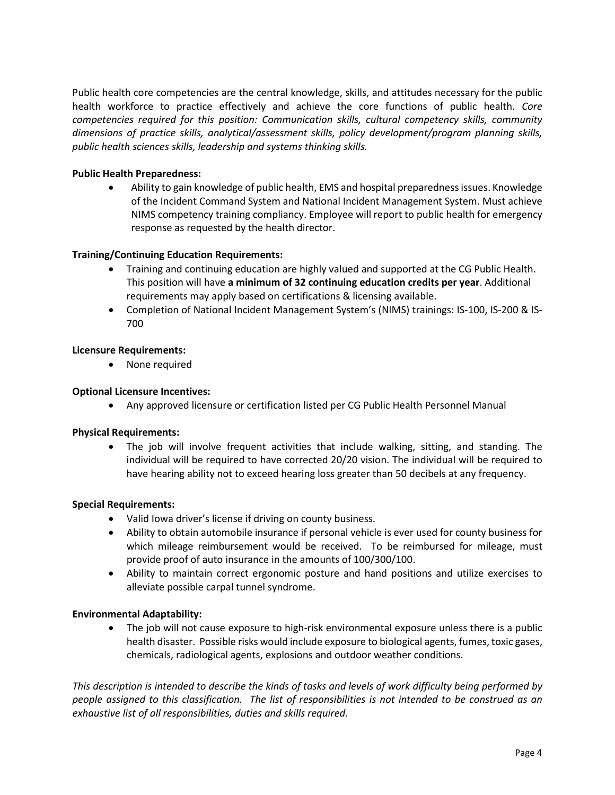Public health core competencies are the central knowledge, skills, and attitudes necessary for the public health workforce to practice effectively and achieve the core functions of public health. *Core competencies required for this position: Communication skills, cultural competency skills, community dimensions of practice skills, analytical/assessment skills, policy development/program planning skills, public health sciences skills, leadership and systems thinking skills.*

## **Public Health Preparedness:**

• Ability to gain knowledge of public health, EMS and hospital preparedness issues. Knowledge of the Incident Command System and National Incident Management System. Must achieve NIMS competency training compliancy. Employee will report to public health for emergency response as requested by the health director.

#### **Training/Continuing Education Requirements:**

- Training and continuing education are highly valued and supported at the CG Public Health. This position will have **a minimum of 32 continuing education credits per year**. Additional requirements may apply based on certifications & licensing available.
- Completion of National Incident Management System's (NIMS) trainings: IS-100, IS-200 & IS-700

#### **Licensure Requirements:**

• None required

#### **Optional Licensure Incentives:**

• Any approved licensure or certification listed per CG Public Health Personnel Manual

#### **Physical Requirements:**

• The job will involve frequent activities that include walking, sitting, and standing. The individual will be required to have corrected 20/20 vision. The individual will be required to have hearing ability not to exceed hearing loss greater than 50 decibels at any frequency.

#### **Special Requirements:**

- Valid Iowa driver's license if driving on county business.
- Ability to obtain automobile insurance if personal vehicle is ever used for county business for which mileage reimbursement would be received. To be reimbursed for mileage, must provide proof of auto insurance in the amounts of 100/300/100.
- Ability to maintain correct ergonomic posture and hand positions and utilize exercises to alleviate possible carpal tunnel syndrome.

#### **Environmental Adaptability:**

• The job will not cause exposure to high-risk environmental exposure unless there is a public health disaster. Possible risks would include exposure to biological agents, fumes, toxic gases, chemicals, radiological agents, explosions and outdoor weather conditions.

*This description is intended to describe the kinds of tasks and levels of work difficulty being performed by people assigned to this classification. The list of responsibilities is not intended to be construed as an exhaustive list of all responsibilities, duties and skills required.*